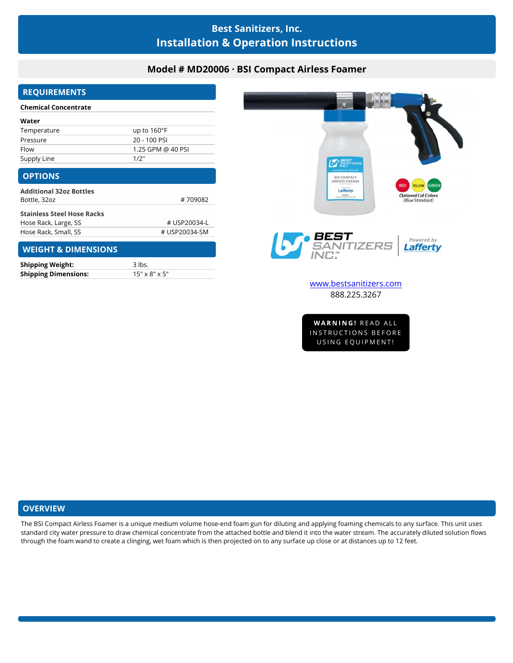# **Best Sanitizers, Inc. Installation & Operation Instructions**

## **Model # MD20006 · BSI Compact Airless Foamer**

## **REQUIREMENTS**

#### **Chemical Concentrate**

| Water       |                       |
|-------------|-----------------------|
| Temperature | up to $160^{\circ}$ F |
| Pressure    | 20 - 100 PSI          |
| Flow        | 1.25 GPM @ 40 PSI     |
| Supply Line | 1/2"                  |

### **OPTIONS**

| <b>Additional 32oz Bottles</b>    |         |
|-----------------------------------|---------|
| Bottle, 32oz                      | #709082 |
| <b>Stainless Steel Hose Racks</b> |         |
|                                   |         |

# **WEIGHT & DIMENSIONS**

| <b>Shipping Weight:</b>     | 3 lbs.                    |
|-----------------------------|---------------------------|
| <b>Shipping Dimensions:</b> | $15" \times 8" \times 5"$ |



**VARNING!** READ ALL<br>STRUCTIONS BEFORE<br>USING EQUIPMENT!

### **OVERVIEW**

The BSI Compact Airless Foamer is a unique medium volume hose-end foam gun for diluting and applying foaming chemicals to any surface. This unit uses standard city water pressure to draw chemical concentrate from the attached bottle and blend it into the water stream. The accurately diluted solution flows through the foam wand to create a clinging, wet foam which is then projected on to any surface up close or at distances up to 12 feet.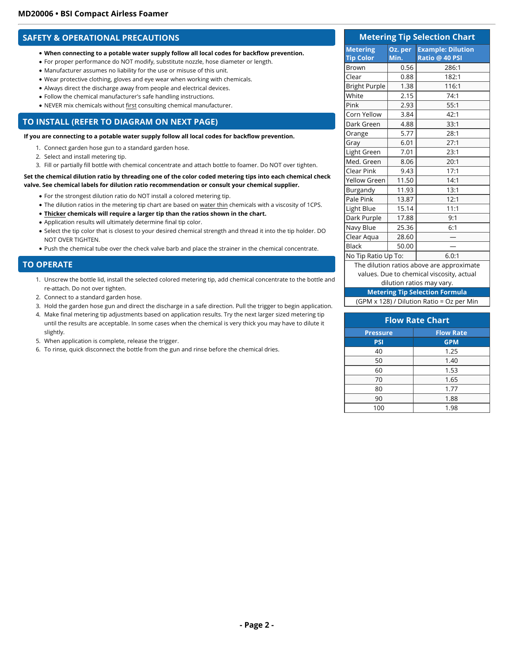### **SAFETY & OPERATIONAL PRECAUTIONS**

- **When connecting to a potable water supply follow all local codes for backflow prevention.**
- For proper performance do NOT modify, substitute nozzle, hose diameter or length.
- Manufacturer assumes no liability for the use or misuse of this unit.
- Wear protective clothing, gloves and eye wear when working with chemicals.
- Always direct the discharge away from people and electrical devices.
- Follow the chemical manufacturer's safe handling instructions.
- NEVER mix chemicals without first consulting chemical manufacturer.

### **TO INSTALL (REFER TO DIAGRAM ON NEXT PAGE)**

**If you are connecting to a potable water supply follow all local codes for backflow prevention.**

- 1. Connect garden hose gun to a standard garden hose.
- 2. Select and install metering tip.
- 3. Fill or partially fill bottle with chemical concentrate and attach bottle to foamer. Do NOT over tighten.

#### **Set the chemical dilution ratio by threading one of the color coded metering tips into each chemical check valve. See chemical labels for dilution ratio recommendation or consult your chemical supplier.**

- For the strongest dilution ratio do NOT install a colored metering tip.
- The dilution ratios in the metering tip chart are based on water thin chemicals with a viscosity of 1CPS.
- **Thicker chemicals will require a larger tip than the ratios shown in the chart.**
- Application results will ultimately determine final tip color.
- Select the tip color that is closest to your desired chemical strength and thread it into the tip holder. DO NOT OVER TIGHTEN.
- Push the chemical tube over the check valve barb and place the strainer in the chemical concentrate.

#### **TO OPERATE**

- 1. Unscrew the bottle lid, install the selected colored metering tip, add chemical concentrate to the bottle and re-attach. Do not over tighten.
- 2. Connect to a standard garden hose.
- 3. Hold the garden hose gun and direct the discharge in a safe direction. Pull the trigger to begin application.
- 4. Make final metering tip adjustments based on application results. Try the next larger sized metering tip until the results are acceptable. In some cases when the chemical is very thick you may have to dilute it slightly.
- 5. When application is complete, release the trigger.
- 6. To rinse, quick disconnect the bottle from the gun and rinse before the chemical dries.

#### **Metering Tip Selection Chart Metering Tip Color Oz. per Min. Example: Dilution Ratio @ 40 PSI** Brown 0.56 286:1 Clear 0.88 182:1 Bright Purple 1.38 116:1 White 2.15 74:1 Pink | 2.93 | 55:1 Corn Yellow  $\vert$  3.84  $\vert$  42:1 Dark Green | 4.88 33:1 Orange | 5.77 | 28:1 Gray 6.01 27:1 Light Green | 7.01 | 23:1 Med. Green 8.06 20:1 Clear Pink 9.43 17:1 Yellow Green | 11.50 | 14:1 Burgandy | 11.93 | 13:1 Pale Pink | 13.87 | 12:1 Light Blue  $\begin{vmatrix} 15.14 & 11:1 \end{vmatrix}$ Dark Purple | 17.88 | 9:1 Navy Blue | 25.36 | 6:1 Clear Aqua  $\vert$  28.60 Black | 50.00 | — | No Tip Ratio Up To:  $\vert$  6.0:1 The dilution ratios above are approximate

values. Due to chemical viscosity, actual

#### dilution ratios may vary.

**Metering Tip Selection Formula**

|  |  | (GPM x 128) / Dilution Ratio = Oz per Min |  |
|--|--|-------------------------------------------|--|
|--|--|-------------------------------------------|--|

| <b>Flow Rate Chart</b> |                  |
|------------------------|------------------|
| <b>Pressure</b>        | <b>Flow Rate</b> |
| <b>PSI</b>             | <b>GPM</b>       |
| 40                     | 1.25             |
| 50                     | 1.40             |
| 60                     | 1.53             |
| 70                     | 1.65             |
| 80                     | 1.77             |
| 90                     | 1.88             |
| 100                    | 1.98             |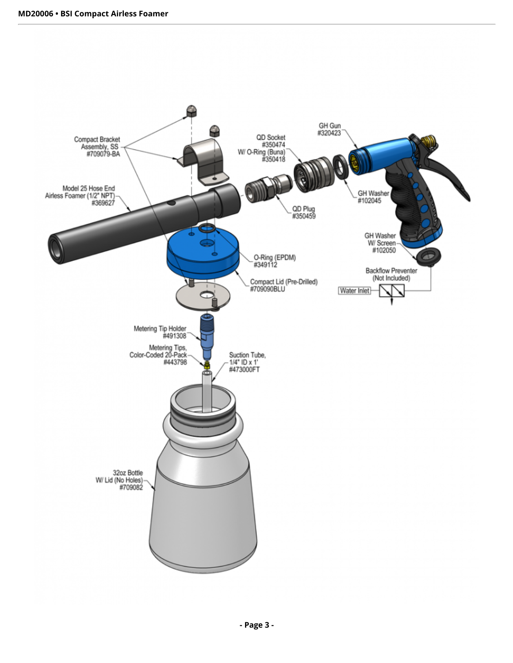